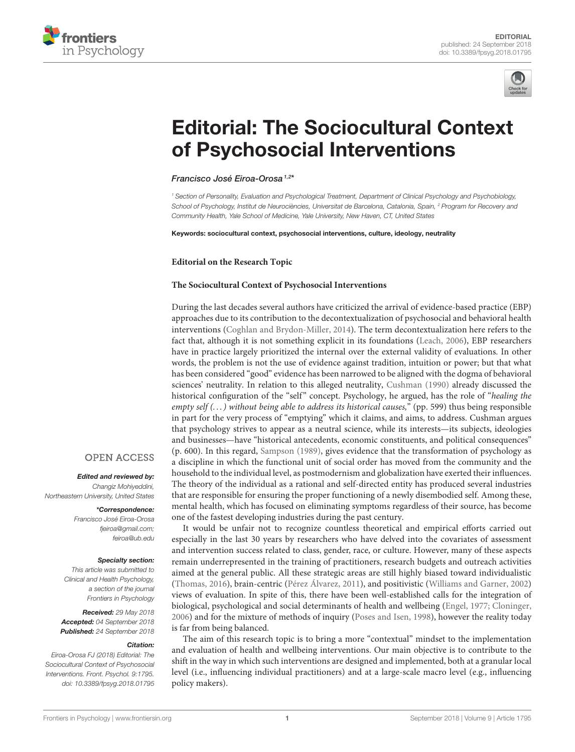



# [Editorial: The Sociocultural Context](https://www.frontiersin.org/articles/10.3389/fpsyg.2018.01795/full) of Psychosocial Interventions

[Francisco José Eiroa-Orosa](http://loop.frontiersin.org/people/287547/overview)<sup>1,2\*</sup>

<sup>1</sup> Section of Personality, Evaluation and Psychological Treatment, Department of Clinical Psychology and Psychobiology, School of Psychology, Institut de Neurociències, Universitat de Barcelona, Catalonia, Spain, <sup>2</sup> Program for Recovery and Community Health, Yale School of Medicine, Yale University, New Haven, CT, United States

Keywords: sociocultural context, psychosocial interventions, culture, ideology, neutrality

**Editorial on the Research Topic**

## **[The Sociocultural Context of Psychosocial Interventions](https://www.frontiersin.org/research-topics/4755/the-sociocultural-context-of-psychosocial-interventions)**

During the last decades several authors have criticized the arrival of evidence-based practice (EBP) approaches due to its contribution to the decontextualization of psychosocial and behavioral health interventions [\(Coghlan and Brydon-Miller, 2014\)](#page-1-0). The term decontextualization here refers to the fact that, although it is not something explicit in its foundations [\(Leach, 2006\)](#page-2-0), EBP researchers have in practice largely prioritized the internal over the external validity of evaluations. In other words, the problem is not the use of evidence against tradition, intuition or power; but that what has been considered "good" evidence has been narrowed to be aligned with the dogma of behavioral sciences' neutrality. In relation to this alleged neutrality, [Cushman \(1990\)](#page-1-1) already discussed the historical configuration of the "self" concept. Psychology, he argued, has the role of "healing the empty self (...) without being able to address its historical causes," (pp. 599) thus being responsible in part for the very process of "emptying" which it claims, and aims, to address. Cushman argues that psychology strives to appear as a neutral science, while its interests—its subjects, ideologies and businesses—have "historical antecedents, economic constituents, and political consequences" (p. 600). In this regard, [Sampson \(1989\)](#page-2-1), gives evidence that the transformation of psychology as a discipline in which the functional unit of social order has moved from the community and the household to the individual level, as postmodernism and globalization have exerted their influences. The theory of the individual as a rational and self-directed entity has produced several industries that are responsible for ensuring the proper functioning of a newly disembodied self. Among these, mental health, which has focused on eliminating symptoms regardless of their source, has become one of the fastest developing industries during the past century.

It would be unfair not to recognize countless theoretical and empirical efforts carried out especially in the last 30 years by researchers who have delved into the covariates of assessment and intervention success related to class, gender, race, or culture. However, many of these aspects remain underrepresented in the training of practitioners, research budgets and outreach activities aimed at the general public. All these strategic areas are still highly biased toward individualistic [\(Thomas, 2016\)](#page-2-2), brain-centric [\(Pérez Álvarez, 2011\)](#page-2-3), and positivistic [\(Williams and Garner, 2002\)](#page-2-4) views of evaluation. In spite of this, there have been well-established calls for the integration of biological, psychological and social determinants of health and wellbeing [\(Engel, 1977;](#page-2-5) [Cloninger,](#page-1-2) [2006\)](#page-1-2) and for the mixture of methods of inquiry [\(Poses and Isen, 1998\)](#page-2-6), however the reality today is far from being balanced.

The aim of this research topic is to bring a more "contextual" mindset to the implementation and evaluation of health and wellbeing interventions. Our main objective is to contribute to the shift in the way in which such interventions are designed and implemented, both at a granular local level (i.e., influencing individual practitioners) and at a large-scale macro level (e.g., influencing policy makers).

## **OPEN ACCESS**

Edited and reviewed by: Changiz Mohiyeddini, Northeastern University, United States

### \*Correspondence:

Francisco José Eiroa-Orosa [fjeiroa@gmail.com;](mailto:fjeiroa@gmail.com) [feiroa@ub.edu](mailto:feiroa@ub.edu)

#### Specialty section:

This article was submitted to Clinical and Health Psychology, a section of the journal Frontiers in Psychology

Received: 29 May 2018 Accepted: 04 September 2018 Published: 24 September 2018

#### Citation:

Eiroa-Orosa FJ (2018) Editorial: The Sociocultural Context of Psychosocial Interventions. Front. Psychol. 9:1795. doi: [10.3389/fpsyg.2018.01795](https://doi.org/10.3389/fpsyg.2018.01795)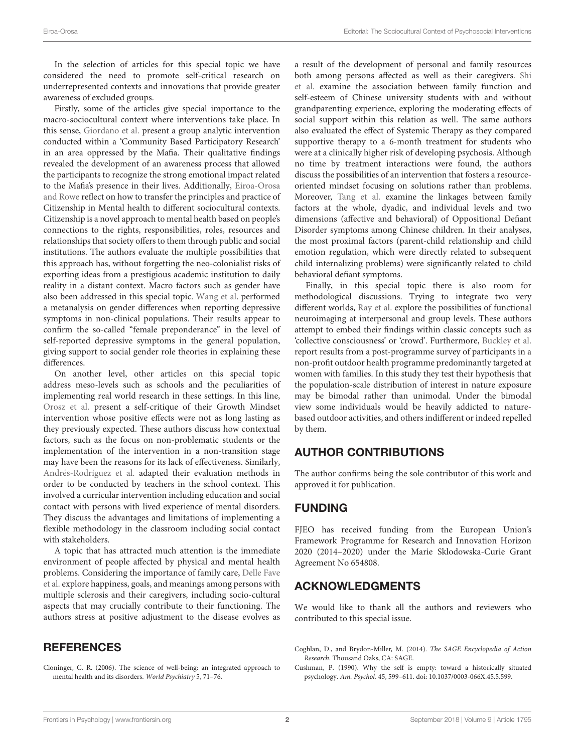In the selection of articles for this special topic we have considered the need to promote self-critical research on underrepresented contexts and innovations that provide greater awareness of excluded groups.

Firstly, some of the articles give special importance to the macro-sociocultural context where interventions take place. In this sense, [Giordano et al.](https://doi.org/10.3389/fpsyg.2017.01631) present a group analytic intervention conducted within a 'Community Based Participatory Research' in an area oppressed by the Mafia. Their qualitative findings revealed the development of an awareness process that allowed the participants to recognize the strong emotional impact related to the Mafia's presence in their lives. Additionally, Eiroa-Orosa and Rowe [reflect on how to transfer the principles and practice of](https://doi.org/10.3389/fpsyg.2017.01020) Citizenship in Mental health to different sociocultural contexts. Citizenship is a novel approach to mental health based on people's connections to the rights, responsibilities, roles, resources and relationships that society offers to them through public and social institutions. The authors evaluate the multiple possibilities that this approach has, without forgetting the neo-colonialist risks of exporting ideas from a prestigious academic institution to daily reality in a distant context. Macro factors such as gender have also been addressed in this special topic. [Wang et al.](https://doi.org/10.3389/fpsyg.2016.01398) performed a metanalysis on gender differences when reporting depressive symptoms in non-clinical populations. Their results appear to confirm the so-called "female preponderance" in the level of self-reported depressive symptoms in the general population, giving support to social gender role theories in explaining these differences.

On another level, other articles on this special topic address meso-levels such as schools and the peculiarities of implementing real world research in these settings. In this line, [Orosz et al.](https://doi.org/10.3389/fpsyg.2017.00311) present a self-critique of their Growth Mindset intervention whose positive effects were not as long lasting as they previously expected. These authors discuss how contextual factors, such as the focus on non-problematic students or the implementation of the intervention in a non-transition stage may have been the reasons for its lack of effectiveness. Similarly, [Andrés-Rodríguez et al.](https://doi.org/10.3389/fpsyg.2017.01608) adapted their evaluation methods in order to be conducted by teachers in the school context. This involved a curricular intervention including education and social contact with persons with lived experience of mental disorders. They discuss the advantages and limitations of implementing a flexible methodology in the classroom including social contact with stakeholders.

A topic that has attracted much attention is the immediate environment of people affected by physical and mental health problems. Considering the importance of family care, Delle Fave et al. [explore happiness, goals, and meanings among persons with](https://doi.org/10.3389/fpsyg.2017.02216) multiple sclerosis and their caregivers, including socio-cultural aspects that may crucially contribute to their functioning. The authors stress at positive adjustment to the disease evolves as

## **REFERENCES**

<span id="page-1-2"></span>Cloninger, C. R. (2006). The science of well-being: an integrated approach to mental health and its disorders. World Psychiatry 5, 71–76.

a result of the development of personal and family resources [both among persons affected as well as their caregivers.](https://doi.org/10.3389/fpsyt.2017.00211) Shi et al. examine the association between family function and self-esteem of Chinese university students with and without grandparenting experience, exploring the moderating effects of social support within this relation as well. The same author[s](https://doi.org/10.3389/fpsyt.2017.00211) also evaluated the effect of Systemic Therapy as they compared supportive therapy to a 6-month treatment for students who were at a clinically higher risk of developing psychosis. Although no time by treatment interactions were found, the authors discuss the possibilities of an intervention that fosters a resourceoriented mindset focusing on solutions rather than problems. Moreover, [Tang et al.](https://doi.org/10.3389/fpsyg.2017.01123) examine the linkages between family factors at the whole, dyadic, and individual levels and two dimensions (affective and behavioral) of Oppositional Defiant Disorder symptoms among Chinese children. In their analyses, the most proximal factors (parent-child relationship and child emotion regulation, which were directly related to subsequent child internalizing problems) were significantly related to child behavioral defiant symptoms.

Finally, in this special topic there is also room for methodological discussions. Trying to integrate two very different worlds, [Ray et al.](https://doi.org/10.3389/fpsyg.2017.01627) explore the possibilities of functional neuroimaging at interpersonal and group levels. These authors attempt to embed their findings within classic concepts such as 'collective consciousness' or 'crowd'. Furthermore, [Buckley et al.](https://doi.org/10.3389/fpubh.2016.00257) report results from a post-programme survey of participants in a non-profit outdoor health programme predominantly targeted at women with families. In this study they test their hypothesis that the population-scale distribution of interest in nature exposure may be bimodal rather than unimodal. Under the bimodal view some individuals would be heavily addicted to naturebased outdoor activities, and others indifferent or indeed repelled by them.

## AUTHOR CONTRIBUTIONS

The author confirms being the sole contributor of this work and approved it for publication.

## FUNDING

FJEO has received funding from the European Union's Framework Programme for Research and Innovation Horizon 2020 (2014–2020) under the Marie Sklodowska-Curie Grant Agreement No 654808.

# ACKNOWLEDGMENTS

We would like to thank all the authors and reviewers who contributed to this special issue.

- <span id="page-1-0"></span>Coghlan, D., and Brydon-Miller, M. (2014). The SAGE Encyclopedia of Action Research. Thousand Oaks, CA: SAGE.
- <span id="page-1-1"></span>Cushman, P. (1990). Why the self is empty: toward a historically situated psychology. Am. Psychol. 45, 599–611. doi: [10.1037/0003-066X.45.5.599.](https://doi.org/10.1037/0003-066X.45.5.599.)